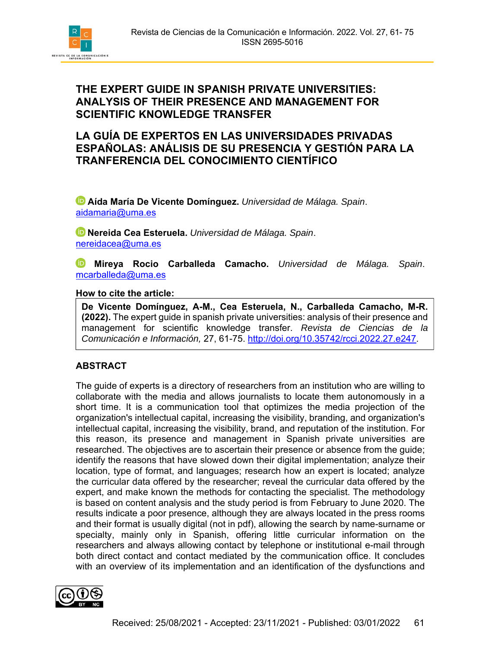

**LA GUÍA DE EXPERTOS EN LAS UNIVERSIDADES PRIVADAS ESPAÑOLAS: ANÁLISIS DE SU PRESENCIA Y GESTIÓN PARA LA TRANFERENCIA DEL CONOCIMIENTO CIENTÍFICO** 

 **Aída María De Vicente Domínguez.** *Universidad de Málaga. Spain*. aidamaria@uma.es

**Nereida Cea Esteruela.** *Universidad de Málaga. Spain*. nereidacea@uma.es

**Mireya Rocio Carballeda Camacho.** *Universidad de Málaga. Spain*. mcarballeda@uma.es

## **How to cite the article:**

**De Vicente Domínguez, A-M., Cea Esteruela, N., Carballeda Camacho, M-R. (2022).** The expert guide in spanish private universities: analysis of their presence and management for scientific knowledge transfer. *Revista de Ciencias de la Comunicación e Información,* 27, 61-75. http://doi.org/10.35742/rcci.2022.27.e247.

## **ABSTRACT**

The guide of experts is a directory of researchers from an institution who are willing to collaborate with the media and allows journalists to locate them autonomously in a short time. It is a communication tool that optimizes the media projection of the organization's intellectual capital, increasing the visibility, branding, and organization's intellectual capital, increasing the visibility, brand, and reputation of the institution. For this reason, its presence and management in Spanish private universities are researched. The objectives are to ascertain their presence or absence from the guide; identify the reasons that have slowed down their digital implementation; analyze their location, type of format, and languages; research how an expert is located; analyze the curricular data offered by the researcher; reveal the curricular data offered by the expert, and make known the methods for contacting the specialist. The methodology is based on content analysis and the study period is from February to June 2020. The results indicate a poor presence, although they are always located in the press rooms and their format is usually digital (not in pdf), allowing the search by name-surname or specialty, mainly only in Spanish, offering little curricular information on the researchers and always allowing contact by telephone or institutional e-mail through both direct contact and contact mediated by the communication office. It concludes with an overview of its implementation and an identification of the dysfunctions and

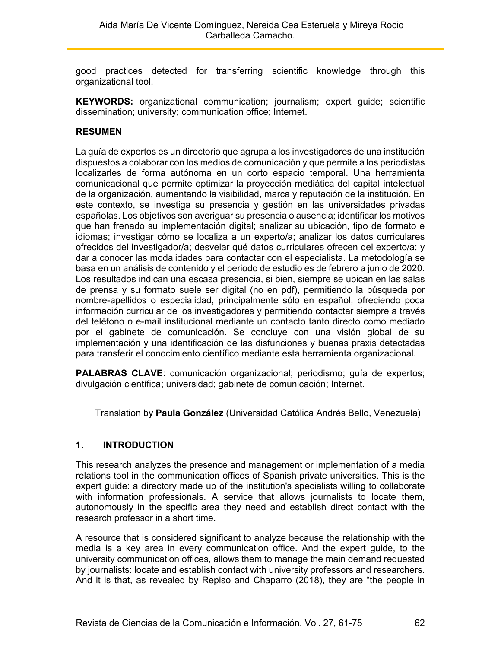good practices detected for transferring scientific knowledge through this organizational tool.

**KEYWORDS:** organizational communication; journalism; expert guide; scientific dissemination; university; communication office; Internet.

## **RESUMEN**

La guía de expertos es un directorio que agrupa a los investigadores de una institución dispuestos a colaborar con los medios de comunicación y que permite a los periodistas localizarles de forma autónoma en un corto espacio temporal. Una herramienta comunicacional que permite optimizar la proyección mediática del capital intelectual de la organización, aumentando la visibilidad, marca y reputación de la institución. En este contexto, se investiga su presencia y gestión en las universidades privadas españolas. Los objetivos son averiguar su presencia o ausencia; identificar los motivos que han frenado su implementación digital; analizar su ubicación, tipo de formato e idiomas; investigar cómo se localiza a un experto/a; analizar los datos curriculares ofrecidos del investigador/a; desvelar qué datos curriculares ofrecen del experto/a; y dar a conocer las modalidades para contactar con el especialista. La metodología se basa en un análisis de contenido y el periodo de estudio es de febrero a junio de 2020. Los resultados indican una escasa presencia, si bien, siempre se ubican en las salas de prensa y su formato suele ser digital (no en pdf), permitiendo la búsqueda por nombre-apellidos o especialidad, principalmente sólo en español, ofreciendo poca información curricular de los investigadores y permitiendo contactar siempre a través del teléfono o e-mail institucional mediante un contacto tanto directo como mediado por el gabinete de comunicación. Se concluye con una visión global de su implementación y una identificación de las disfunciones y buenas praxis detectadas para transferir el conocimiento científico mediante esta herramienta organizacional.

**PALABRAS CLAVE**: comunicación organizacional; periodismo; guía de expertos; divulgación científica; universidad; gabinete de comunicación; Internet.

Translation by **Paula González** (Universidad Católica Andrés Bello, Venezuela)

## **1. INTRODUCTION**

This research analyzes the presence and management or implementation of a media relations tool in the communication offices of Spanish private universities. This is the expert guide: a directory made up of the institution's specialists willing to collaborate with information professionals. A service that allows journalists to locate them, autonomously in the specific area they need and establish direct contact with the research professor in a short time.

A resource that is considered significant to analyze because the relationship with the media is a key area in every communication office. And the expert guide, to the university communication offices, allows them to manage the main demand requested by journalists: locate and establish contact with university professors and researchers. And it is that, as revealed by Repiso and Chaparro (2018), they are "the people in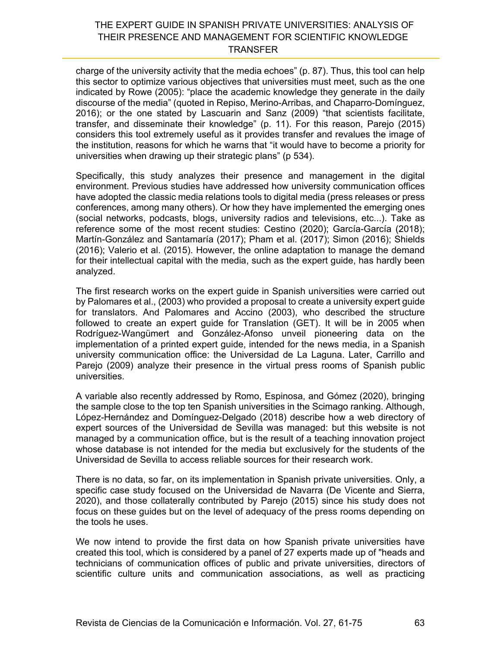charge of the university activity that the media echoes" (p. 87). Thus, this tool can help this sector to optimize various objectives that universities must meet, such as the one indicated by Rowe (2005): "place the academic knowledge they generate in the daily discourse of the media" (quoted in Repiso, Merino-Arribas, and Chaparro-Domínguez, 2016); or the one stated by Lascuarin and Sanz (2009) "that scientists facilitate, transfer, and disseminate their knowledge" (p. 11). For this reason, Parejo (2015) considers this tool extremely useful as it provides transfer and revalues the image of the institution, reasons for which he warns that "it would have to become a priority for universities when drawing up their strategic plans" (p 534).

Specifically, this study analyzes their presence and management in the digital environment. Previous studies have addressed how university communication offices have adopted the classic media relations tools to digital media (press releases or press conferences, among many others). Or how they have implemented the emerging ones (social networks, podcasts, blogs, university radios and televisions, etc...). Take as reference some of the most recent studies: Cestino (2020); García-García (2018); Martín-González and Santamaría (2017); Pham et al. (2017); Simon (2016); Shields (2016); Valerio et al. (2015). However, the online adaptation to manage the demand for their intellectual capital with the media, such as the expert guide, has hardly been analyzed.

The first research works on the expert guide in Spanish universities were carried out by Palomares et al., (2003) who provided a proposal to create a university expert guide for translators. And Palomares and Accino (2003), who described the structure followed to create an expert guide for Translation (GET). It will be in 2005 when Rodríguez-Wangümert and González-Afonso unveil pioneering data on the implementation of a printed expert guide, intended for the news media, in a Spanish university communication office: the Universidad de La Laguna. Later, Carrillo and Parejo (2009) analyze their presence in the virtual press rooms of Spanish public universities.

A variable also recently addressed by Romo, Espinosa, and Gómez (2020), bringing the sample close to the top ten Spanish universities in the Scimago ranking. Although, López-Hernández and Domínguez-Delgado (2018) describe how a web directory of expert sources of the Universidad de Sevilla was managed: but this website is not managed by a communication office, but is the result of a teaching innovation project whose database is not intended for the media but exclusively for the students of the Universidad de Sevilla to access reliable sources for their research work.

There is no data, so far, on its implementation in Spanish private universities. Only, a specific case study focused on the Universidad de Navarra (De Vicente and Sierra, 2020), and those collaterally contributed by Parejo (2015) since his study does not focus on these guides but on the level of adequacy of the press rooms depending on the tools he uses.

We now intend to provide the first data on how Spanish private universities have created this tool, which is considered by a panel of 27 experts made up of "heads and technicians of communication offices of public and private universities, directors of scientific culture units and communication associations, as well as practicing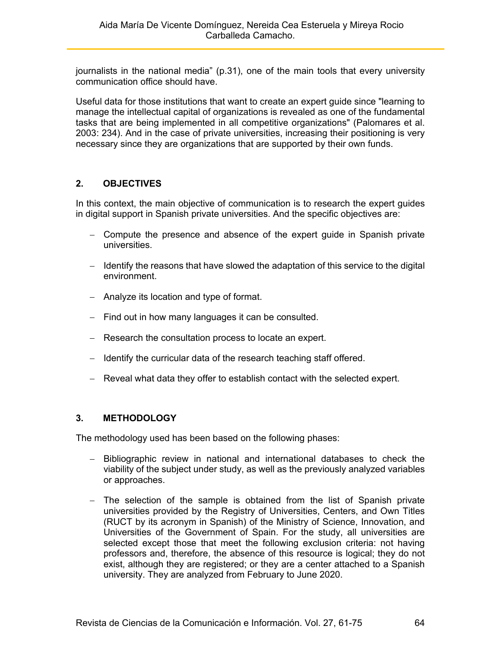journalists in the national media" (p.31), one of the main tools that every university communication office should have.

Useful data for those institutions that want to create an expert guide since "learning to manage the intellectual capital of organizations is revealed as one of the fundamental tasks that are being implemented in all competitive organizations" (Palomares et al. 2003: 234). And in the case of private universities, increasing their positioning is very necessary since they are organizations that are supported by their own funds.

# **2. OBJECTIVES**

In this context, the main objective of communication is to research the expert guides in digital support in Spanish private universities. And the specific objectives are:

- Compute the presence and absence of the expert guide in Spanish private universities.
- $-$  Identify the reasons that have slowed the adaptation of this service to the digital environment.
- Analyze its location and type of format.
- $-$  Find out in how many languages it can be consulted.
- Research the consultation process to locate an expert.
- $-$  Identify the curricular data of the research teaching staff offered.
- Reveal what data they offer to establish contact with the selected expert.

## **3. METHODOLOGY**

The methodology used has been based on the following phases:

- Bibliographic review in national and international databases to check the viability of the subject under study, as well as the previously analyzed variables or approaches.
- The selection of the sample is obtained from the list of Spanish private universities provided by the Registry of Universities, Centers, and Own Titles (RUCT by its acronym in Spanish) of the Ministry of Science, Innovation, and Universities of the Government of Spain. For the study, all universities are selected except those that meet the following exclusion criteria: not having professors and, therefore, the absence of this resource is logical; they do not exist, although they are registered; or they are a center attached to a Spanish university. They are analyzed from February to June 2020.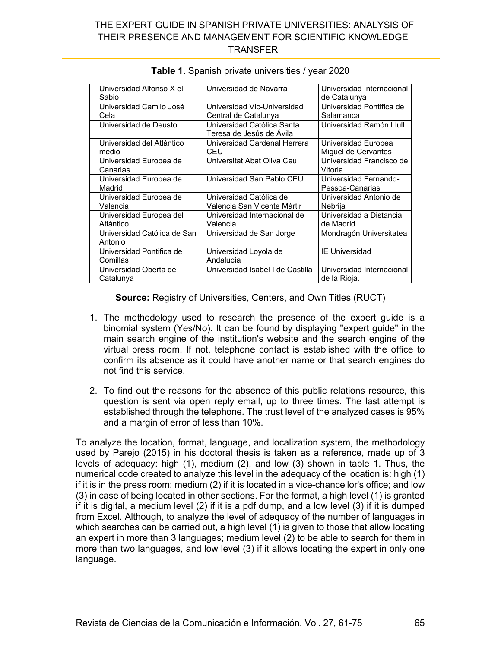| Universidad Alfonso X el    | Universidad de Navarra                                 | Universidad Internacional |  |
|-----------------------------|--------------------------------------------------------|---------------------------|--|
| Sabio                       |                                                        | de Catalunya              |  |
| Universidad Camilo José     | Universidad Vic-Universidad                            | Universidad Pontifica de  |  |
| Cela                        | Central de Catalunya                                   | Salamanca                 |  |
| Universidad de Deusto       | Universidad Católica Santa<br>Teresa de Jesús de Avila | Universidad Ramón Llull   |  |
|                             |                                                        |                           |  |
| Universidad del Atlántico   | Universidad Cardenal Herrera                           | Universidad Europea       |  |
| medio                       | CEU                                                    | Miguel de Cervantes       |  |
| Universidad Europea de      | Universitat Abat Oliva Ceu                             | Universidad Francisco de  |  |
| Canarias                    |                                                        | Vitoria                   |  |
| Universidad Europea de      | Universidad San Pablo CEU                              | Universidad Fernando-     |  |
| Madrid                      |                                                        | Pessoa-Canarias           |  |
| Universidad Europea de      | Universidad Católica de                                | Universidad Antonio de    |  |
| Valencia                    | Valencia San Vicente Mártir                            | Nebrija                   |  |
| Universidad Europea del     | Universidad Internacional de                           | Universidad a Distancia   |  |
| Atlántico                   | Valencia                                               | de Madrid                 |  |
| Universidad Católica de San | Universidad de San Jorge                               | Mondragón Universitatea   |  |
| Antonio                     |                                                        |                           |  |
| Universidad Pontifica de    | Universidad Loyola de                                  | <b>IE Universidad</b>     |  |
| Comillas                    | Andalucía                                              |                           |  |
| Universidad Oberta de       | Universidad Isabel I de Castilla                       | Universidad Internacional |  |
| Catalunya                   |                                                        | de la Rioja.              |  |

|  | Table 1. Spanish private universities / year 2020 |  |
|--|---------------------------------------------------|--|
|--|---------------------------------------------------|--|

**Source:** Registry of Universities, Centers, and Own Titles (RUCT)

- 1. The methodology used to research the presence of the expert guide is a binomial system (Yes/No). It can be found by displaying "expert guide" in the main search engine of the institution's website and the search engine of the virtual press room. If not, telephone contact is established with the office to confirm its absence as it could have another name or that search engines do not find this service.
- 2. To find out the reasons for the absence of this public relations resource, this question is sent via open reply email, up to three times. The last attempt is established through the telephone. The trust level of the analyzed cases is 95% and a margin of error of less than 10%.

To analyze the location, format, language, and localization system, the methodology used by Parejo (2015) in his doctoral thesis is taken as a reference, made up of 3 levels of adequacy: high (1), medium (2), and low (3) shown in table 1. Thus, the numerical code created to analyze this level in the adequacy of the location is: high (1) if it is in the press room; medium (2) if it is located in a vice-chancellor's office; and low (3) in case of being located in other sections. For the format, a high level (1) is granted if it is digital, a medium level (2) if it is a pdf dump, and a low level (3) if it is dumped from Excel. Although, to analyze the level of adequacy of the number of languages in which searches can be carried out, a high level (1) is given to those that allow locating an expert in more than 3 languages; medium level (2) to be able to search for them in more than two languages, and low level (3) if it allows locating the expert in only one language.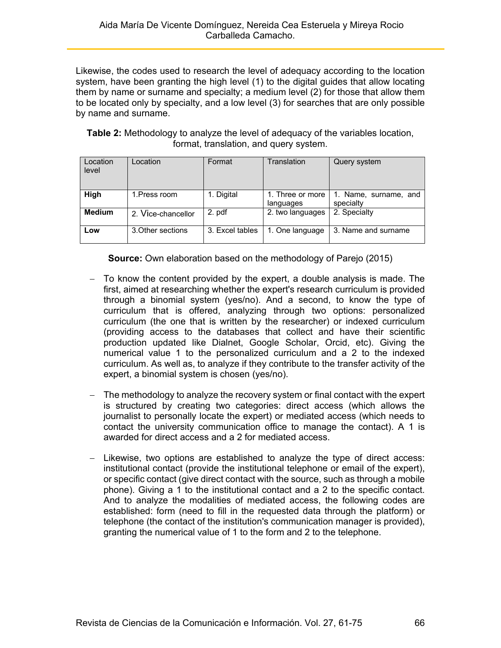Likewise, the codes used to research the level of adequacy according to the location system, have been granting the high level (1) to the digital guides that allow locating them by name or surname and specialty; a medium level (2) for those that allow them to be located only by specialty, and a low level (3) for searches that are only possible by name and surname.

**Table 2:** Methodology to analyze the level of adequacy of the variables location, format, translation, and query system.

| Location<br>level | Location           | Format          | Translation                   | Query system                       |
|-------------------|--------------------|-----------------|-------------------------------|------------------------------------|
| High              | 1. Press room      | 1. Digital      | 1. Three or more<br>languages | 1. Name, surname, and<br>specialty |
| <b>Medium</b>     | 2. Vice-chancellor | 2. pdf          | 2. two languages              | 2. Specialty                       |
| Low               | 3. Other sections  | 3. Excel tables | 1. One language               | 3. Name and surname                |

**Source:** Own elaboration based on the methodology of Parejo (2015)

- To know the content provided by the expert, a double analysis is made. The first, aimed at researching whether the expert's research curriculum is provided through a binomial system (yes/no). And a second, to know the type of curriculum that is offered, analyzing through two options: personalized curriculum (the one that is written by the researcher) or indexed curriculum (providing access to the databases that collect and have their scientific production updated like Dialnet, Google Scholar, Orcid, etc). Giving the numerical value 1 to the personalized curriculum and a 2 to the indexed curriculum. As well as, to analyze if they contribute to the transfer activity of the expert, a binomial system is chosen (yes/no).
- $-$  The methodology to analyze the recovery system or final contact with the expert is structured by creating two categories: direct access (which allows the journalist to personally locate the expert) or mediated access (which needs to contact the university communication office to manage the contact). A 1 is awarded for direct access and a 2 for mediated access.
- $-$  Likewise, two options are established to analyze the type of direct access: institutional contact (provide the institutional telephone or email of the expert), or specific contact (give direct contact with the source, such as through a mobile phone). Giving a 1 to the institutional contact and a 2 to the specific contact. And to analyze the modalities of mediated access, the following codes are established: form (need to fill in the requested data through the platform) or telephone (the contact of the institution's communication manager is provided), granting the numerical value of 1 to the form and 2 to the telephone.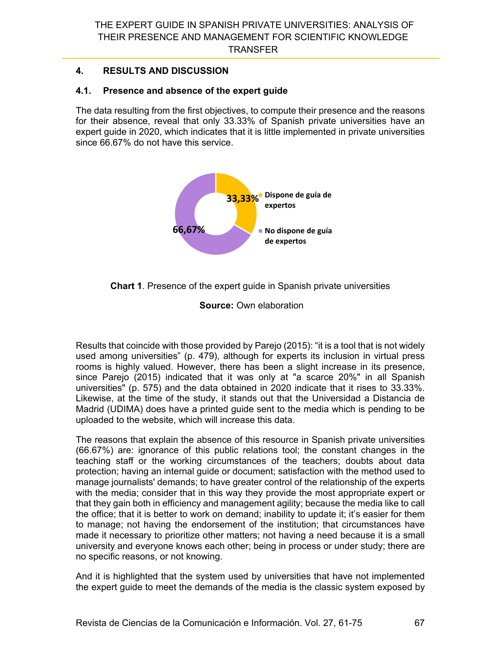# **4. RESULTS AND DISCUSSION**

# **4.1. Presence and absence of the expert guide**

The data resulting from the first objectives, to compute their presence and the reasons for their absence, reveal that only 33.33% of Spanish private universities have an expert guide in 2020, which indicates that it is little implemented in private universities since 66.67% do not have this service.





**Source:** Own elaboration

Results that coincide with those provided by Parejo (2015): "it is a tool that is not widely used among universities" (p. 479), although for experts its inclusion in virtual press rooms is highly valued. However, there has been a slight increase in its presence, since Parejo (2015) indicated that it was only at "a scarce 20%" in all Spanish universities" (p. 575) and the data obtained in 2020 indicate that it rises to 33.33%. Likewise, at the time of the study, it stands out that the Universidad a Distancia de Madrid (UDIMA) does have a printed guide sent to the media which is pending to be uploaded to the website, which will increase this data.

The reasons that explain the absence of this resource in Spanish private universities (66.67%) are: ignorance of this public relations tool; the constant changes in the teaching staff or the working circumstances of the teachers; doubts about data protection; having an internal guide or document; satisfaction with the method used to manage journalists' demands; to have greater control of the relationship of the experts with the media; consider that in this way they provide the most appropriate expert or that they gain both in efficiency and management agility; because the media like to call the office; that it is better to work on demand; inability to update it; it's easier for them to manage; not having the endorsement of the institution; that circumstances have made it necessary to prioritize other matters; not having a need because it is a small university and everyone knows each other; being in process or under study; there are no specific reasons, or not knowing.

And it is highlighted that the system used by universities that have not implemented the expert guide to meet the demands of the media is the classic system exposed by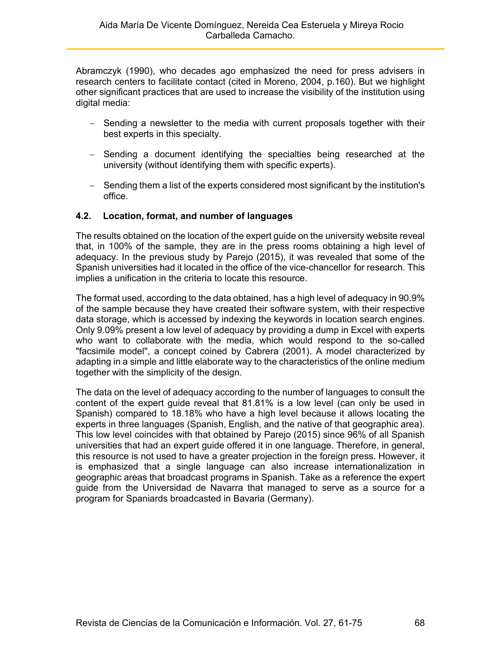Abramczyk (1990), who decades ago emphasized the need for press advisers in research centers to facilitate contact (cited in Moreno, 2004, p.160). But we highlight other significant practices that are used to increase the visibility of the institution using digital media:

- Sending a newsletter to the media with current proposals together with their best experts in this specialty.
- Sending a document identifying the specialties being researched at the university (without identifying them with specific experts).
- Sending them a list of the experts considered most significant by the institution's office.

## **4.2. Location, format, and number of languages**

The results obtained on the location of the expert guide on the university website reveal that, in 100% of the sample, they are in the press rooms obtaining a high level of adequacy. In the previous study by Parejo (2015), it was revealed that some of the Spanish universities had it located in the office of the vice-chancellor for research. This implies a unification in the criteria to locate this resource.

The format used, according to the data obtained, has a high level of adequacy in 90.9% of the sample because they have created their software system, with their respective data storage, which is accessed by indexing the keywords in location search engines. Only 9.09% present a low level of adequacy by providing a dump in Excel with experts who want to collaborate with the media, which would respond to the so-called "facsimile model", a concept coined by Cabrera (2001). A model characterized by adapting in a simple and little elaborate way to the characteristics of the online medium together with the simplicity of the design.

The data on the level of adequacy according to the number of languages to consult the content of the expert guide reveal that 81.81% is a low level (can only be used in Spanish) compared to 18.18% who have a high level because it allows locating the experts in three languages (Spanish, English, and the native of that geographic area). This low level coincides with that obtained by Parejo (2015) since 96% of all Spanish universities that had an expert guide offered it in one language. Therefore, in general, this resource is not used to have a greater projection in the foreign press. However, it is emphasized that a single language can also increase internationalization in geographic areas that broadcast programs in Spanish. Take as a reference the expert guide from the Universidad de Navarra that managed to serve as a source for a program for Spaniards broadcasted in Bavaria (Germany).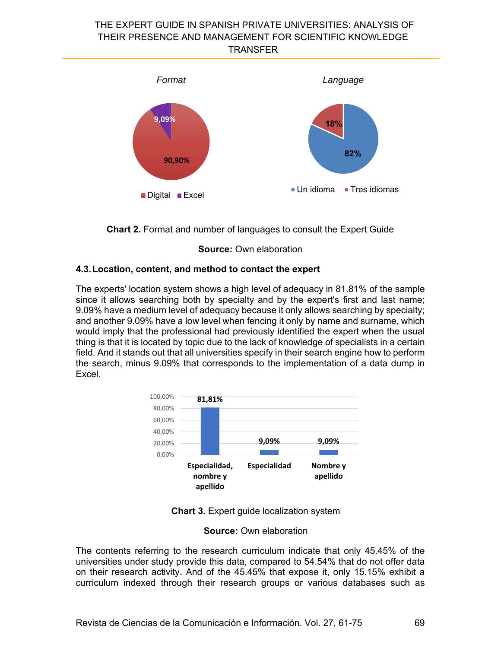



**Source:** Own elaboration

## **4.3. Location, content, and method to contact the expert**

The experts' location system shows a high level of adequacy in 81.81% of the sample since it allows searching both by specialty and by the expert's first and last name; 9.09% have a medium level of adequacy because it only allows searching by specialty; and another 9.09% have a low level when fencing it only by name and surname, which would imply that the professional had previously identified the expert when the usual thing is that it is located by topic due to the lack of knowledge of specialists in a certain field. And it stands out that all universities specify in their search engine how to perform the search, minus 9.09% that corresponds to the implementation of a data dump in Excel.





#### **Source:** Own elaboration

The contents referring to the research curriculum indicate that only 45.45% of the universities under study provide this data, compared to 54.54% that do not offer data on their research activity. And of the 45.45% that expose it, only 15.15% exhibit a curriculum indexed through their research groups or various databases such as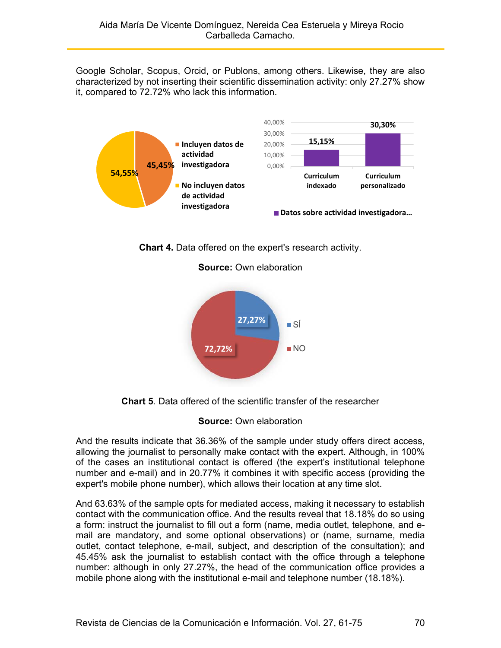Google Scholar, Scopus, Orcid, or Publons, among others. Likewise, they are also characterized by not inserting their scientific dissemination activity: only 27.27% show it, compared to 72.72% who lack this information.



**Chart 4.** Data offered on the expert's research activity.



**Source:** Own elaboration

**Chart 5**. Data offered of the scientific transfer of the researcher

#### **Source:** Own elaboration

And the results indicate that 36.36% of the sample under study offers direct access, allowing the journalist to personally make contact with the expert. Although, in 100% of the cases an institutional contact is offered (the expert's institutional telephone number and e-mail) and in 20.77% it combines it with specific access (providing the expert's mobile phone number), which allows their location at any time slot.

And 63.63% of the sample opts for mediated access, making it necessary to establish contact with the communication office. And the results reveal that 18.18% do so using a form: instruct the journalist to fill out a form (name, media outlet, telephone, and email are mandatory, and some optional observations) or (name, surname, media outlet, contact telephone, e-mail, subject, and description of the consultation); and 45.45% ask the journalist to establish contact with the office through a telephone number: although in only 27.27%, the head of the communication office provides a mobile phone along with the institutional e-mail and telephone number (18.18%).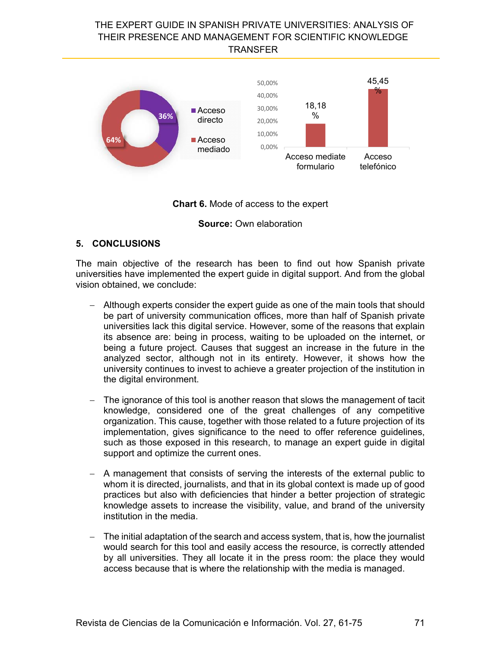

#### **Chart 6.** Mode of access to the expert

#### **Source:** Own elaboration

#### **5. CONCLUSIONS**

The main objective of the research has been to find out how Spanish private universities have implemented the expert guide in digital support. And from the global vision obtained, we conclude:

- Although experts consider the expert guide as one of the main tools that should be part of university communication offices, more than half of Spanish private universities lack this digital service. However, some of the reasons that explain its absence are: being in process, waiting to be uploaded on the internet, or being a future project. Causes that suggest an increase in the future in the analyzed sector, although not in its entirety. However, it shows how the university continues to invest to achieve a greater projection of the institution in the digital environment.
- The ignorance of this tool is another reason that slows the management of tacit knowledge, considered one of the great challenges of any competitive organization. This cause, together with those related to a future projection of its implementation, gives significance to the need to offer reference guidelines, such as those exposed in this research, to manage an expert guide in digital support and optimize the current ones.
- A management that consists of serving the interests of the external public to whom it is directed, journalists, and that in its global context is made up of good practices but also with deficiencies that hinder a better projection of strategic knowledge assets to increase the visibility, value, and brand of the university institution in the media.
- The initial adaptation of the search and access system, that is, how the journalist would search for this tool and easily access the resource, is correctly attended by all universities. They all locate it in the press room: the place they would access because that is where the relationship with the media is managed.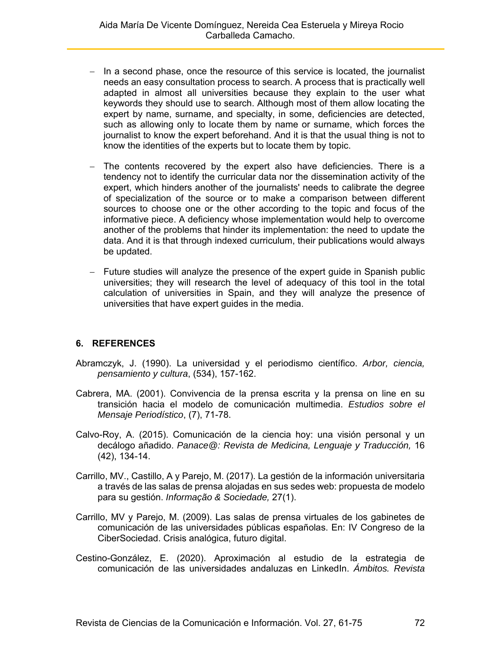- $-$  In a second phase, once the resource of this service is located, the journalist needs an easy consultation process to search. A process that is practically well adapted in almost all universities because they explain to the user what keywords they should use to search. Although most of them allow locating the expert by name, surname, and specialty, in some, deficiencies are detected, such as allowing only to locate them by name or surname, which forces the journalist to know the expert beforehand. And it is that the usual thing is not to know the identities of the experts but to locate them by topic.
- The contents recovered by the expert also have deficiencies. There is a tendency not to identify the curricular data nor the dissemination activity of the expert, which hinders another of the journalists' needs to calibrate the degree of specialization of the source or to make a comparison between different sources to choose one or the other according to the topic and focus of the informative piece. A deficiency whose implementation would help to overcome another of the problems that hinder its implementation: the need to update the data. And it is that through indexed curriculum, their publications would always be updated.
- Future studies will analyze the presence of the expert guide in Spanish public universities; they will research the level of adequacy of this tool in the total calculation of universities in Spain, and they will analyze the presence of universities that have expert guides in the media.

#### **6. REFERENCES**

- Abramczyk, J. (1990). La universidad y el periodismo científico. *Arbor, ciencia, pensamiento y cultura*, (534), 157-162.
- Cabrera, MA. (2001). Convivencia de la prensa escrita y la prensa on line en su transición hacia el modelo de comunicación multimedia. *Estudios sobre el Mensaje Periodístico*, (7), 71-78.
- Calvo-Roy, A. (2015). Comunicación de la ciencia hoy: una visión personal y un decálogo añadido. *Panace@: Revista de Medicina, Lenguaje y Traducción,* 16 (42), 134-14.
- Carrillo, MV., Castillo, A y Parejo, M. (2017). La gestión de la información universitaria a través de las salas de prensa alojadas en sus sedes web: propuesta de modelo para su gestión. *Informação & Sociedade,* 27(1).
- Carrillo, MV y Parejo, M. (2009). Las salas de prensa virtuales de los gabinetes de comunicación de las universidades públicas españolas. En: IV Congreso de la CiberSociedad. Crisis analógica, futuro digital.
- Cestino-González, E. (2020). Aproximación al estudio de la estrategia de comunicación de las universidades andaluzas en LinkedIn. *Ámbitos. Revista*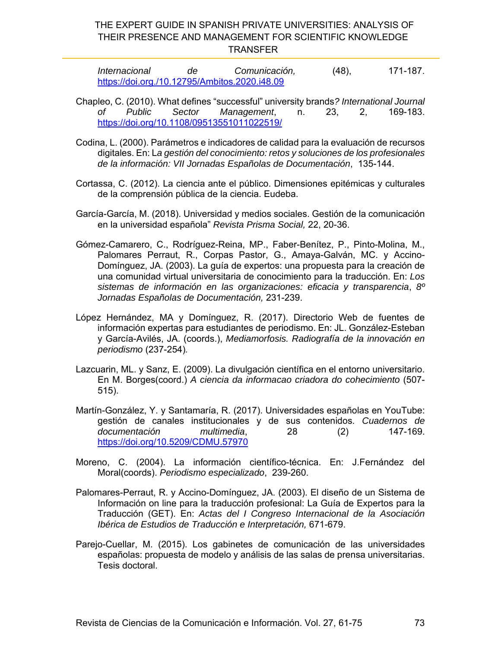| Internacional                                 | de | Comunicación, | $(48)$ , | 171-187. |
|-----------------------------------------------|----|---------------|----------|----------|
| https://doi.org./10.12795/Ambitos.2020.i48.09 |    |               |          |          |

- Chapleo, C. (2010). What defines "successful" university brands*? International Journal of Public Sector Management*, n. 23, 2, 169-183. https://doi.org/10.1108/09513551011022519/
- Codina, L. (2000). Parámetros e indicadores de calidad para la evaluación de recursos digitales. En: L*a gestión del conocimiento: retos y soluciones de los profesionales de la información: VII Jornadas Españolas de Documentación*, 135-144.
- Cortassa, C. (2012). La ciencia ante el público. Dimensiones epitémicas y culturales de la comprensión pública de la ciencia. Eudeba.
- García-García, M. (2018). Universidad y medios sociales. Gestión de la comunicación en la universidad española" *Revista Prisma Social,* 22, 20-36.
- Gómez-Camarero, C., Rodríguez-Reina, MP., Faber-Benítez, P., Pinto-Molina, M., Palomares Perraut, R., Corpas Pastor, G., Amaya-Galván, MC. y Accino-Domínguez, JA. (2003). La guía de expertos: una propuesta para la creación de una comunidad virtual universitaria de conocimiento para la traducción. En: *Los sistemas de información en las organizaciones: eficacia y transparencia*, *8º Jornadas Españolas de Documentación,* 231-239.
- López Hernández, MA y Domínguez, R. (2017). Directorio Web de fuentes de información expertas para estudiantes de periodismo. En: JL. González-Esteban y García-Avilés, JA. (coords.), *Mediamorfosis. Radiografía de la innovación en periodismo* (237-254)*.*
- Lazcuarin, ML. y Sanz, E. (2009). La divulgación científica en el entorno universitario. En M. Borges(coord.) *A ciencia da informacao criadora do cohecimiento* (507- 515).
- Martín-González, Y. y Santamaría, R. (2017). Universidades españolas en YouTube: gestión de canales institucionales y de sus contenidos. *Cuadernos de documentación multimedia*, 28 (2) 147-169. https://doi.org/10.5209/CDMU.57970
- Moreno, C. (2004). La información científico-técnica. En: J.Fernández del Moral(coords). *Periodismo especializado*, 239-260.
- Palomares-Perraut, R. y Accino-Domínguez, JA. (2003). El diseño de un Sistema de Información on line para la traducción profesional: La Guía de Expertos para la Traducción (GET). En: *Actas del I Congreso Internacional de la Asociación Ibérica de Estudios de Traducción e Interpretación,* 671-679.
- Parejo-Cuellar, M. (2015). Los gabinetes de comunicación de las universidades españolas: propuesta de modelo y análisis de las salas de prensa universitarias. Tesis doctoral.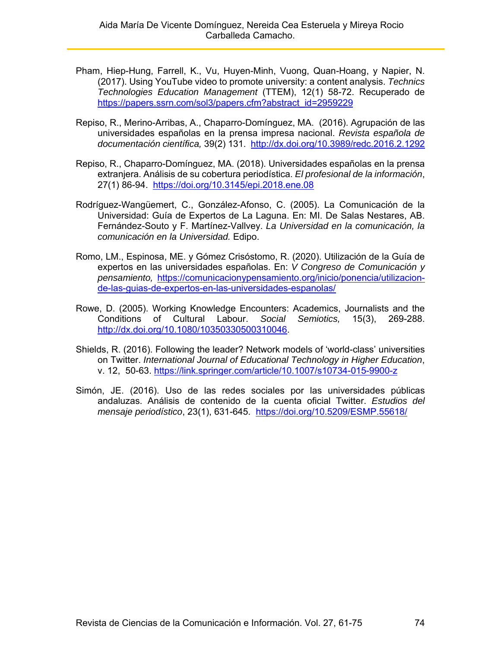- Pham, Hiep-Hung, Farrell, K., Vu, Huyen-Minh, Vuong, Quan-Hoang, y Napier, N. (2017). Using YouTube video to promote university: a content analysis. *Technics Technologies Education Management* (TTEM), 12(1) 58-72. Recuperado de https://papers.ssrn.com/sol3/papers.cfm?abstract\_id=2959229
- Repiso, R., Merino-Arribas, A., Chaparro-Domínguez, MA. (2016). Agrupación de las universidades españolas en la prensa impresa nacional. *Revista española de documentación científica,* 39(2) 131. http://dx.doi.org/10.3989/redc.2016.2.1292
- Repiso, R., Chaparro-Domínguez, MA. (2018). Universidades españolas en la prensa extranjera. Análisis de su cobertura periodística. *El profesional de la información*, 27(1) 86-94. https://doi.org/10.3145/epi.2018.ene.08
- Rodríguez-Wangüemert, C., González-Afonso, C. (2005). La Comunicación de la Universidad: Guía de Expertos de La Laguna. En: MI. De Salas Nestares, AB. Fernández-Souto y F. Martínez-Vallvey. *La Universidad en la comunicación, la comunicación en la Universidad.* Edipo.
- Romo, LM., Espinosa, ME. y Gómez Crisóstomo, R. (2020). Utilización de la Guía de expertos en las universidades españolas. En: *V Congreso de Comunicación y pensamiento,* https://comunicacionypensamiento.org/inicio/ponencia/utilizacionde-las-guias-de-expertos-en-las-universidades-espanolas/
- Rowe, D. (2005). Working Knowledge Encounters: Academics, Journalists and the Conditions of Cultural Labour. *Social Semiotics,* 15(3), 269-288. http://dx.doi.org/10.1080/10350330500310046.
- Shields, R. (2016). Following the leader? Network models of 'world-class' universities on Twitter. *International Journal of Educational Technology in Higher Education*, v. 12, 50-63. https://link.springer.com/article/10.1007/s10734-015-9900-z
- Simón, JE. (2016). Uso de las redes sociales por las universidades públicas andaluzas. Análisis de contenido de la cuenta oficial Twitter. *Estudios del mensaje periodístico*, 23(1), 631-645. https://doi.org/10.5209/ESMP.55618/